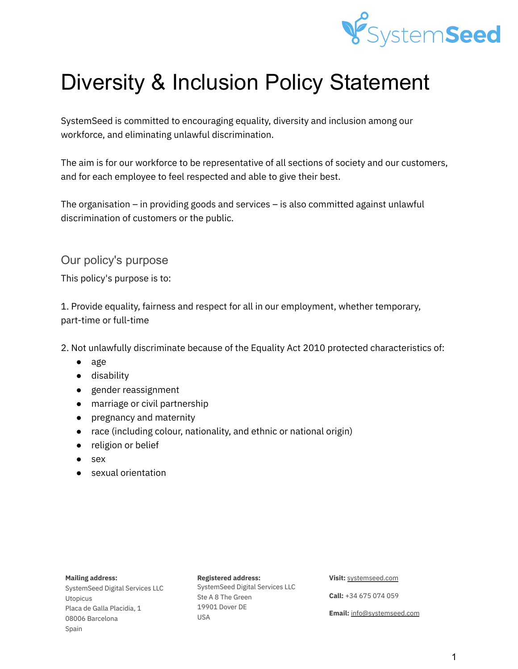

# Diversity & Inclusion Policy Statement

SystemSeed is committed to encouraging equality, diversity and inclusion among our workforce, and eliminating unlawful discrimination.

The aim is for our workforce to be representative of all sections of society and our customers, and for each employee to feel respected and able to give their best.

The organisation – in providing goods and services – is also committed against unlawful discrimination of customers or the public.

# Our policy's purpose

This policy's purpose is to:

1. Provide equality, fairness and respect for all in our employment, whether temporary, part-time or full-time

2. Not unlawfully discriminate because of the Equality Act 2010 protected characteristics of:

- age
- disability
- gender reassignment
- marriage or civil partnership
- pregnancy and maternity
- race (including colour, nationality, and ethnic or national origin)
- religion or belief
- sex
- sexual orientation

## **Mailing address:**

SystemSeed Digital Services LLC Utopicus Placa de Galla Placidia, 1 08006 Barcelona Spain

#### **Registered address:**

SystemSeed Digital Services LLC Ste A 8 The Green 19901 Dover DE USA

#### **Visit:** [systemseed.com](http://www.systemseed.com)

**Call:** +34 675 074 059

**Email:** [info@systemseed.com](mailto:info@systemseed.com)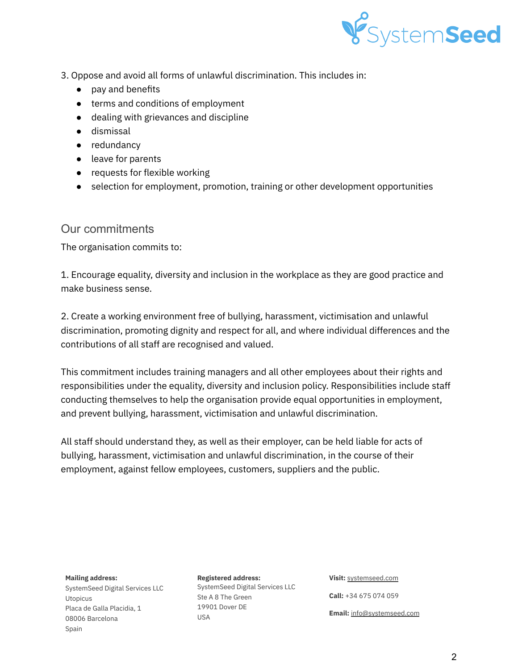

- 3. Oppose and avoid all forms of unlawful discrimination. This includes in:
	- pay and benefits
	- terms and conditions of employment
	- dealing with grievances and discipline
	- dismissal
	- redundancy
	- leave for parents
	- requests for flexible working
	- selection for employment, promotion, training or other development opportunities

## Our commitments

The organisation commits to:

1. Encourage equality, diversity and inclusion in the workplace as they are good practice and make business sense.

2. Create a working environment free of bullying, harassment, victimisation and unlawful discrimination, promoting dignity and respect for all, and where individual differences and the contributions of all staff are recognised and valued.

This commitment includes training managers and all other employees about their rights and responsibilities under the equality, diversity and inclusion policy. Responsibilities include staff conducting themselves to help the organisation provide equal opportunities in employment, and prevent bullying, harassment, victimisation and unlawful discrimination.

All staff should understand they, as well as their employer, can be held liable for acts of bullying, harassment, victimisation and unlawful discrimination, in the course of their employment, against fellow employees, customers, suppliers and the public.

#### **Mailing address:**

SystemSeed Digital Services LLC Utopicus Placa de Galla Placidia, 1 08006 Barcelona Spain

#### **Registered address:**

SystemSeed Digital Services LLC Ste A 8 The Green 19901 Dover DE USA

#### **Visit:** [systemseed.com](http://www.systemseed.com)

**Call:** +34 675 074 059 **Email:** [info@systemseed.com](mailto:info@systemseed.com)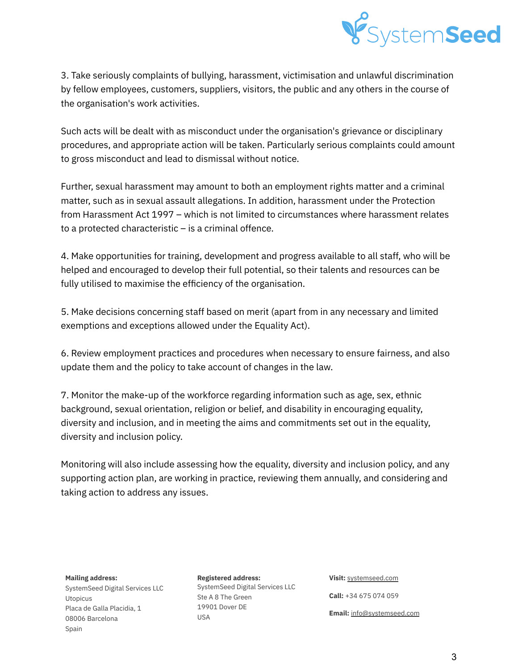

3. Take seriously complaints of bullying, harassment, victimisation and unlawful discrimination by fellow employees, customers, suppliers, visitors, the public and any others in the course of the organisation's work activities.

Such acts will be dealt with as misconduct under the organisation's grievance or disciplinary procedures, and appropriate action will be taken. Particularly serious complaints could amount to gross misconduct and lead to dismissal without notice.

Further, sexual harassment may amount to both an employment rights matter and a criminal matter, such as in sexual assault allegations. In addition, harassment under the Protection from Harassment Act 1997 – which is not limited to circumstances where harassment relates to a protected characteristic – is a criminal offence.

4. Make opportunities for training, development and progress available to all staff, who will be helped and encouraged to develop their full potential, so their talents and resources can be fully utilised to maximise the efficiency of the organisation.

5. Make decisions concerning staff based on merit (apart from in any necessary and limited exemptions and exceptions allowed under the Equality Act).

6. Review employment practices and procedures when necessary to ensure fairness, and also update them and the policy to take account of changes in the law.

7. Monitor the make-up of the workforce regarding information such as age, sex, ethnic background, sexual orientation, religion or belief, and disability in encouraging equality, diversity and inclusion, and in meeting the aims and commitments set out in the equality, diversity and inclusion policy.

Monitoring will also include assessing how the equality, diversity and inclusion policy, and any supporting action plan, are working in practice, reviewing them annually, and considering and taking action to address any issues.

#### **Mailing address:**

SystemSeed Digital Services LLC Utopicus Placa de Galla Placidia, 1 08006 Barcelona Spain

## **Registered address:** SystemSeed Digital Services LLC Ste A 8 The Green 19901 Dover DE USA

**Visit:** [systemseed.com](http://www.systemseed.com) **Call:** +34 675 074 059 **Email:** [info@systemseed.com](mailto:info@systemseed.com)